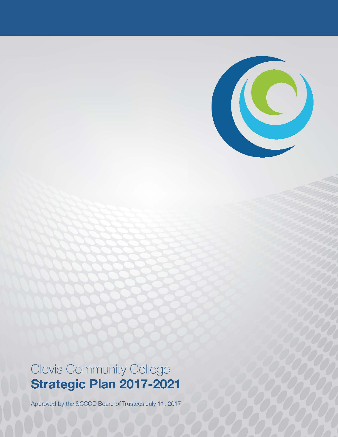

Approved by the SCCCD Board of Trustees July 11, 2017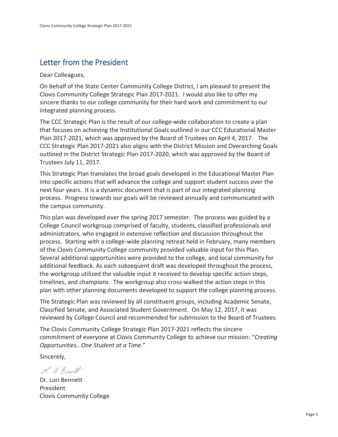### Letter from the President

Dear Colleagues,

On behalf of the State Center Community College District, I am pleased to present the Clovis Community College Strategic Plan 2017-2021. I would also like to offer my sincere thanks to our college community for their hard work and commitment to our integrated planning process.

The CCC Strategic Plan is the result of our college-wide collaboration to create a plan that focuses on achieving the Institutional Goals outlined in our CCC Educational Master Plan 2017-2021, which was approved by the Board of Trustees on April 4, 2017. The CCC Strategic Plan 2017-2021 also aligns with the District Mission and Overarching Goals outlined in the District Strategic Plan 2017-2020, which was approved by the Board of Trustees July 11, 2017.

This Strategic Plan translates the broad goals developed in the Educational Master Plan into specific actions that will advance the college and support student success over the next four years. It is a dynamic document that is part of our integrated planning process. Progress towards our goals will be reviewed annually and communicated with the campus community.

This plan was developed over the spring 2017 semester. The process was guided by a College Council workgroup comprised of faculty, students, classified professionals and administrators, who engaged in extensive reflection and discussion throughout the process. Starting with a college-wide planning retreat held in February, many members of the Clovis Community College community provided valuable input for this Plan. Several additional opportunities were provided to the college, and local community for additional feedback. As each subsequent draft was developed throughout the process, the workgroup utilized the valuable input it received to develop specific action steps, timelines, and champions. The workgroup also cross-walked the action steps in this plan with other planning documents developed to support the college planning process.

The Strategic Plan was reviewed by all constituent groups, including Academic Senate, Classified Senate, and Associated Student Government. On May 12, 2017, it was reviewed by College Council and recommended for submission to the Board of Trustees.

The Clovis Community College Strategic Plan 2017-2021 reflects the sincere commitment of everyone at Clovis Community College to achieve our mission: "*Creating Opportunities…One Student at a Time*."

Sincerely,

L. a. Bennett

Dr. Lori Bennett President Clovis Community College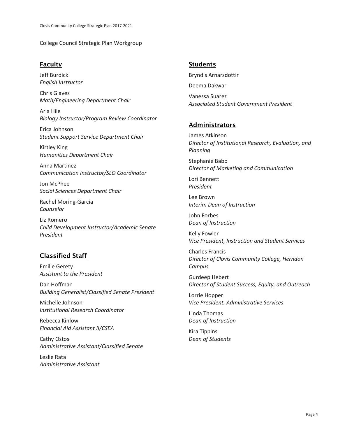College Council Strategic Plan Workgroup

#### Faculty

Jeff Burdick *English Instructor*

Chris Glaves *Math/Engineering Department Chair*

Arla Hile *Biology Instructor/Program Review Coordinator*

Erica Johnson *Student Support Service Department Chair*

Kirtley King *Humanities Department Chair*

Anna Martinez *Communication Instructor/SLO Coordinator*

Jon McPhee *Social Sciences Department Chair*

Rachel Moring-Garcia *Counselor*

Liz Romero *Child Development Instructor/Academic Senate President*

#### Classified Staff

Emilie Gerety *Assistant to the President*

Dan Hoffman *Building Generalist/Classified Senate President*

Michelle Johnson *Institutional Research Coordinator*

Rebecca Kinlow *Financial Aid Assistant II/CSEA*

Cathy Ostos *Administrative Assistant/Classified Senate*

Leslie Rata *Administrative Assistant*

#### **Students**

Bryndis Arnarsdottir Deema Dakwar

Vanessa Suarez *Associated Student Government President*

#### Administrators

James Atkinson *Director of Institutional Research, Evaluation, and Planning*

Stephanie Babb *Director of Marketing and Communication*

Lori Bennett *President*

Lee Brown *Interim Dean of Instruction*

John Forbes *Dean of Instruction*

Kelly Fowler *Vice President, Instruction and Student Services*

Charles Francis *Director of Clovis Community College, Herndon Campus*

Gurdeep Hebert *Director of Student Success, Equity, and Outreach*

Lorrie Hopper *Vice President, Administrative Services*

Linda Thomas *Dean of Instruction*

Kira Tippins *Dean of Students*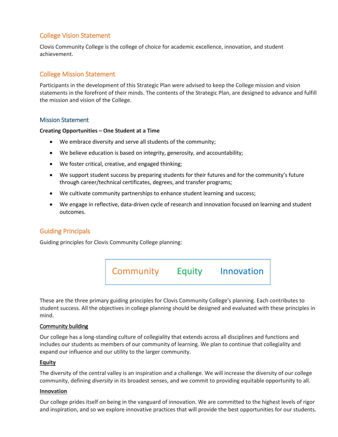#### College Vision Statement

Clovis Community College is the college of choice for academic excellence, innovation, and student achievement.

#### College Mission Statement

Participants in the development of this Strategic Plan were advised to keep the College mission and vision statements in the forefront of their minds. The contents of the Strategic Plan, are designed to advance and fulfill the mission and vision of the College.

#### Mission Statement

#### **Creating Opportunities – One Student at a Time**

- We embrace diversity and serve all students of the community;
- We believe education is based on integrity, generosity, and accountability;
- We foster critical, creative, and engaged thinking;
- We support student success by preparing students for their futures and for the community's future through career/technical certificates, degrees, and transfer programs;
- We cultivate community partnerships to enhance student learning and success;
- We engage in reflective, data-driven cycle of research and innovation focused on learning and student outcomes.

#### Guiding Principals

Guiding principles for Clovis Community College planning:



These are the three primary guiding principles for Clovis Community College's planning. Each contributes to student success. All the objectives in college planning should be designed and evaluated with these principles in mind.

#### Community building

Our college has a long-standing culture of collegiality that extends across all disciplines and functions and includes our students as members of our community of learning. We plan to continue that collegiality and expand our influence and our utility to the larger community.

#### **Equity**

The diversity of the central valley is an inspiration and a challenge. We will increase the diversity of our college community, defining *diversity* in its broadest senses, and we commit to providing equitable opportunity to all.

#### **Innovation**

Our college prides itself on being in the vanguard of innovation. We are committed to the highest levels of rigor and inspiration, and so we explore innovative practices that will provide the best opportunities for our students.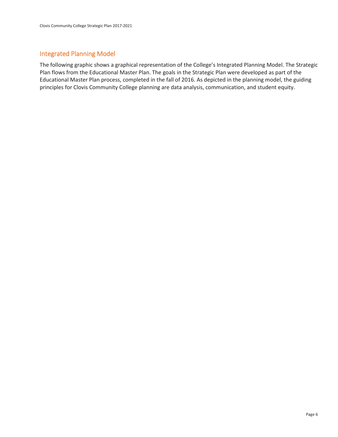#### Integrated Planning Model

The following graphic shows a graphical representation of the College's Integrated Planning Model. The Strategic Plan flows from the Educational Master Plan. The goals in the Strategic Plan were developed as part of the Educational Master Plan process, completed in the fall of 2016. As depicted in the planning model, the guiding principles for Clovis Community College planning are data analysis, communication, and student equity.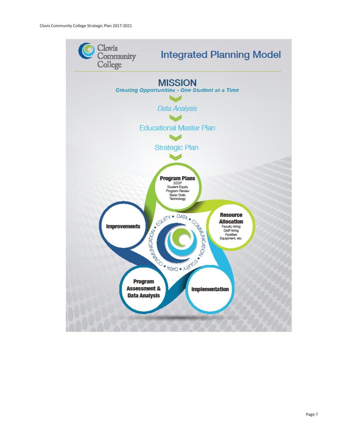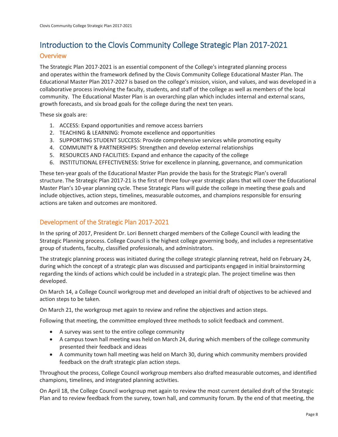# Introduction to the Clovis Community College Strategic Plan 2017-2021

#### **Overview**

The Strategic Plan 2017-2021 is an essential component of the College's integrated planning process and operates within the framework defined by the Clovis Community College Educational Master Plan. The Educational Master Plan 2017-2027 is based on the college's mission, vision, and values, and was developed in a collaborative process involving the faculty, students, and staff of the college as well as members of the local community. The Educational Master Plan is an overarching plan which includes internal and external scans, growth forecasts, and six broad goals for the college during the next ten years.

These six goals are:

- 1. ACCESS: Expand opportunities and remove access barriers
- 2. TEACHING & LEARNING: Promote excellence and opportunities
- 3. SUPPORTING STUDENT SUCCESS: Provide comprehensive services while promoting equity
- 4. COMMUNITY & PARTNERSHIPS: Strengthen and develop external relationships
- 5. RESOURCES AND FACILITIES: Expand and enhance the capacity of the college
- 6. INSTITUTIONAL EFFECTIVENESS: Strive for excellence in planning, governance, and communication

These ten-year goals of the Educational Master Plan provide the basis for the Strategic Plan's overall structure. The Strategic Plan 2017-21 is the first of three four-year strategic plans that will cover the Educational Master Plan's 10-year planning cycle. These Strategic Plans will guide the college in meeting these goals and include objectives, action steps, timelines, measurable outcomes, and champions responsible for ensuring actions are taken and outcomes are monitored.

#### Development of the Strategic Plan 2017-2021

In the spring of 2017, President Dr. Lori Bennett charged members of the College Council with leading the Strategic Planning process. College Council is the highest college governing body, and includes a representative group of students, faculty, classified professionals, and administrators.

The strategic planning process was initiated during the college strategic planning retreat, held on February 24, during which the concept of a strategic plan was discussed and participants engaged in initial brainstorming regarding the kinds of actions which could be included in a strategic plan. The project timeline was then developed.

On March 14, a College Council workgroup met and developed an initial draft of objectives to be achieved and action steps to be taken.

On March 21, the workgroup met again to review and refine the objectives and action steps.

Following that meeting, the committee employed three methods to solicit feedback and comment.

- A survey was sent to the entire college community
- A campus town hall meeting was held on March 24, during which members of the college community presented their feedback and ideas
- A community town hall meeting was held on March 30, during which community members provided feedback on the draft strategic plan action steps.

Throughout the process, College Council workgroup members also drafted measurable outcomes, and identified champions, timelines, and integrated planning activities.

On April 18, the College Council workgroup met again to review the most current detailed draft of the Strategic Plan and to review feedback from the survey, town hall, and community forum. By the end of that meeting, the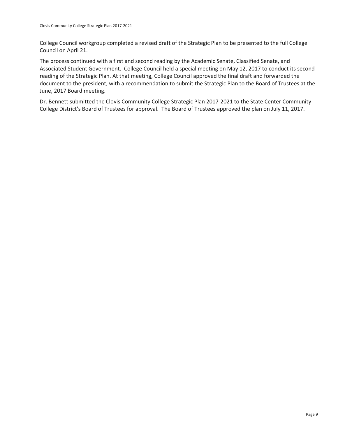College Council workgroup completed a revised draft of the Strategic Plan to be presented to the full College Council on April 21.

The process continued with a first and second reading by the Academic Senate, Classified Senate, and Associated Student Government. College Council held a special meeting on May 12, 2017 to conduct its second reading of the Strategic Plan. At that meeting, College Council approved the final draft and forwarded the document to the president, with a recommendation to submit the Strategic Plan to the Board of Trustees at the June, 2017 Board meeting.

Dr. Bennett submitted the Clovis Community College Strategic Plan 2017-2021 to the State Center Community College District's Board of Trustees for approval. The Board of Trustees approved the plan on July 11, 2017.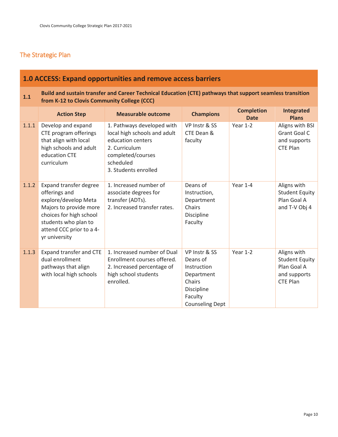#### The Strategic Plan

### **1.0 ACCESS: Expand opportunities and remove access barriers**

#### **1.1 Build and sustain transfer and Career Technical Education (CTE) pathways that support seamless transition <b>1.1 Career 1999 COC from K-12 to Clovis Community College (CCC)**

|       | <b>Action Step</b>                                                                                                                                                                        | <b>Measurable outcome</b>                                                                                                                                  | <b>Champions</b>                                                                                                    | <b>Completion</b><br><b>Date</b> | Integrated<br><b>Plans</b>                                                             |
|-------|-------------------------------------------------------------------------------------------------------------------------------------------------------------------------------------------|------------------------------------------------------------------------------------------------------------------------------------------------------------|---------------------------------------------------------------------------------------------------------------------|----------------------------------|----------------------------------------------------------------------------------------|
| 1.1.1 | Develop and expand<br>CTE program offerings<br>that align with local<br>high schools and adult<br>education CTE<br>curriculum                                                             | 1. Pathways developed with<br>local high schools and adult<br>education centers<br>2. Curriculum<br>completed/courses<br>scheduled<br>3. Students enrolled | VP Instr & SS<br>CTE Dean &<br>faculty                                                                              | Year $1-2$                       | Aligns with BSI<br><b>Grant Goal C</b><br>and supports<br><b>CTE Plan</b>              |
| 1.1.2 | Expand transfer degree<br>offerings and<br>explore/develop Meta<br>Majors to provide more<br>choices for high school<br>students who plan to<br>attend CCC prior to a 4-<br>yr university | 1. Increased number of<br>associate degrees for<br>transfer (ADTs).<br>2. Increased transfer rates.                                                        | Deans of<br>Instruction,<br>Department<br>Chairs<br>Discipline<br>Faculty                                           | Year 1-4                         | Aligns with<br><b>Student Equity</b><br>Plan Goal A<br>and T-V Obj 4                   |
| 1.1.3 | Expand transfer and CTE<br>dual enrollment<br>pathways that align<br>with local high schools                                                                                              | 1. Increased number of Dual<br>Enrollment courses offered.<br>2. Increased percentage of<br>high school students<br>enrolled.                              | VP Instr & SS<br>Deans of<br>Instruction<br>Department<br>Chairs<br>Discipline<br>Faculty<br><b>Counseling Dept</b> | Year $1-2$                       | Aligns with<br><b>Student Equity</b><br>Plan Goal A<br>and supports<br><b>CTE Plan</b> |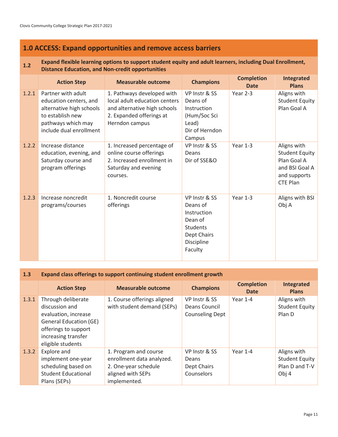#### **1.0 ACCESS: Expand opportunities and remove access barriers**

#### **1.2 Expand flexible learning options to support student equity and adult learners, including Dual Enrollment, Distance Education, and Non-credit opportunities**

|       | <b>Action Step</b>                                                                                                                            | <b>Measurable outcome</b>                                                                                                                 | <b>Champions</b>                                                                                        | <b>Completion</b><br><b>Date</b> | Integrated<br><b>Plans</b>                                                                               |
|-------|-----------------------------------------------------------------------------------------------------------------------------------------------|-------------------------------------------------------------------------------------------------------------------------------------------|---------------------------------------------------------------------------------------------------------|----------------------------------|----------------------------------------------------------------------------------------------------------|
| 1.2.1 | Partner with adult<br>education centers, and<br>alternative high schools<br>to establish new<br>pathways which may<br>include dual enrollment | 1. Pathways developed with<br>local adult education centers<br>and alternative high schools<br>2. Expanded offerings at<br>Herndon campus | VP Instr & SS<br>Deans of<br>Instruction<br>(Hum/Soc Sci<br>Lead)<br>Dir of Herndon<br>Campus           | Year 2-3                         | Aligns with<br><b>Student Equity</b><br>Plan Goal A                                                      |
| 1.2.2 | Increase distance<br>education, evening, and<br>Saturday course and<br>program offerings                                                      | 1. Increased percentage of<br>online course offerings<br>2. Increased enrollment in<br>Saturday and evening<br>courses.                   | VP Instr & SS<br>Deans<br>Dir of SSE&O                                                                  | Year $1-3$                       | Aligns with<br><b>Student Equity</b><br>Plan Goal A<br>and BSI Goal A<br>and supports<br><b>CTE Plan</b> |
| 1.2.3 | Increase noncredit<br>programs/courses                                                                                                        | 1. Noncredit course<br>offerings                                                                                                          | VP Instr & SS<br>Deans of<br>Instruction<br>Dean of<br>Students<br>Dept Chairs<br>Discipline<br>Faculty | Year 1-3                         | Aligns with BSI<br>Obj A                                                                                 |

#### **1.3 Expand class offerings to support continuing student enrollment growth**

|       | <b>Action Step</b>                                                                                                                                                | <b>Measurable outcome</b>                                                                                       | <b>Champions</b>                                         | <b>Completion</b><br><b>Date</b> | <b>Integrated</b><br><b>Plans</b>                               |
|-------|-------------------------------------------------------------------------------------------------------------------------------------------------------------------|-----------------------------------------------------------------------------------------------------------------|----------------------------------------------------------|----------------------------------|-----------------------------------------------------------------|
| 1.3.1 | Through deliberate<br>discussion and<br>evaluation, increase<br><b>General Education (GE)</b><br>offerings to support<br>increasing transfer<br>eligible students | 1. Course offerings aligned<br>with student demand (SEPs)                                                       | VP Instr & SS<br>Deans Council<br><b>Counseling Dept</b> | Year 1-4                         | Aligns with<br><b>Student Equity</b><br>Plan D                  |
| 1.3.2 | Explore and<br>implement one-year<br>scheduling based on<br><b>Student Educational</b><br>Plans (SEPs)                                                            | 1. Program and course<br>enrollment data analyzed.<br>2. One-year schedule<br>aligned with SEPs<br>implemented. | VP Instr & SS<br>Deans<br>Dept Chairs<br>Counselors      | Year 1-4                         | Aligns with<br><b>Student Equity</b><br>Plan D and T-V<br>Obj 4 |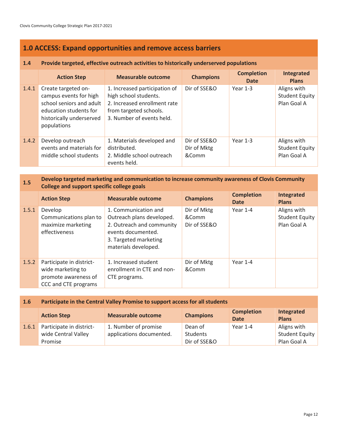#### **1.0 ACCESS: Expand opportunities and remove access barriers**

#### **1.4 Provide targeted, effective outreach activities to historically underserved populations**

|       | <b>Action Step</b>                                                                                                                             | <b>Measurable outcome</b>                                                                                                                     | <b>Champions</b>                     | <b>Completion</b><br><b>Date</b> | Integrated<br><b>Plans</b>                   |
|-------|------------------------------------------------------------------------------------------------------------------------------------------------|-----------------------------------------------------------------------------------------------------------------------------------------------|--------------------------------------|----------------------------------|----------------------------------------------|
| 1.4.1 | Create targeted on-<br>campus events for high<br>school seniors and adult<br>education students for<br>historically underserved<br>populations | 1. Increased participation of<br>high school students.<br>2. Increased enrollment rate<br>from targeted schools.<br>3. Number of events held. | Dir of SSE&O                         | Year $1-3$                       | Aligns with<br>Student Equity<br>Plan Goal A |
| 1.4.2 | Develop outreach<br>events and materials for<br>middle school students                                                                         | 1. Materials developed and<br>distributed.<br>2. Middle school outreach<br>events held.                                                       | Dir of SSE&O<br>Dir of Mktg<br>&Comm | Year 1-3                         | Aligns with<br>Student Equity<br>Plan Goal A |

#### **1.5 Develop targeted marketing and communication to increase community awareness of Clovis Community <b>1.5 College and support specific college goals**

|       | <b>Action Step</b>                                                                            | <b>Measurable outcome</b>                                                                                                                             | <b>Champions</b>                     | <b>Completion</b><br><b>Date</b> | Integrated<br><b>Plans</b>                          |
|-------|-----------------------------------------------------------------------------------------------|-------------------------------------------------------------------------------------------------------------------------------------------------------|--------------------------------------|----------------------------------|-----------------------------------------------------|
| 1.5.1 | Develop<br>Communications plan to<br>maximize marketing<br>effectiveness                      | 1. Communication and<br>Outreach plans developed.<br>2. Outreach and community<br>events documented.<br>3. Targeted marketing<br>materials developed. | Dir of Mktg<br>&Comm<br>Dir of SSE&O | Year 1-4                         | Aligns with<br><b>Student Equity</b><br>Plan Goal A |
| 1.5.2 | Participate in district-<br>wide marketing to<br>promote awareness of<br>CCC and CTE programs | 1. Increased student<br>enrollment in CTE and non-<br>CTE programs.                                                                                   | Dir of Mktg<br>&Comm                 | Year 1-4                         |                                                     |

| 1.6   | Participate in the Central Valley Promise to support access for all students |                                                  |                                     |                                  |                                                     |  |
|-------|------------------------------------------------------------------------------|--------------------------------------------------|-------------------------------------|----------------------------------|-----------------------------------------------------|--|
|       | <b>Action Step</b>                                                           | <b>Measurable outcome</b>                        | <b>Champions</b>                    | <b>Completion</b><br><b>Date</b> | Integrated<br><b>Plans</b>                          |  |
| 1.6.1 | Participate in district-<br>wide Central Valley<br>Promise                   | 1. Number of promise<br>applications documented. | Dean of<br>Students<br>Dir of SSE&O | Year 1-4                         | Aligns with<br><b>Student Equity</b><br>Plan Goal A |  |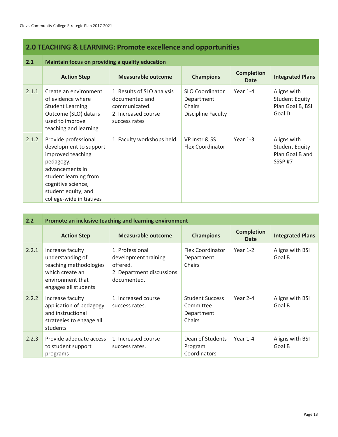### **2.0 TEACHING & LEARNING: Promote excellence and opportunities**

| 2.1   | Maintain focus on providing a quality education                                                                                                                                                       |                                                                                                       |                                                                             |                                  |                                                                    |  |
|-------|-------------------------------------------------------------------------------------------------------------------------------------------------------------------------------------------------------|-------------------------------------------------------------------------------------------------------|-----------------------------------------------------------------------------|----------------------------------|--------------------------------------------------------------------|--|
|       | <b>Action Step</b>                                                                                                                                                                                    | Measurable outcome                                                                                    | <b>Champions</b>                                                            | <b>Completion</b><br><b>Date</b> | <b>Integrated Plans</b>                                            |  |
| 2.1.1 | Create an environment<br>of evidence where<br><b>Student Learning</b><br>Outcome (SLO) data is<br>used to improve<br>teaching and learning                                                            | 1. Results of SLO analysis<br>documented and<br>communicated.<br>2. Increased course<br>success rates | <b>SLO Coordinator</b><br>Department<br>Chairs<br><b>Discipline Faculty</b> | Year $1-4$                       | Aligns with<br><b>Student Equity</b><br>Plan Goal B, BSI<br>Goal D |  |
| 2.1.2 | Provide professional<br>development to support<br>improved teaching<br>pedagogy,<br>advancements in<br>student learning from<br>cognitive science,<br>student equity, and<br>college-wide initiatives | 1. Faculty workshops held.                                                                            | VP Instr & SS<br><b>Flex Coordinator</b>                                    | Year 1-3                         | Aligns with<br><b>Student Equity</b><br>Plan Goal B and<br>SSSP#7  |  |

| 2.2   | Promote an inclusive teaching and learning environment                                                                        |                                                                                                 |                                                             |                           |                           |  |
|-------|-------------------------------------------------------------------------------------------------------------------------------|-------------------------------------------------------------------------------------------------|-------------------------------------------------------------|---------------------------|---------------------------|--|
|       | <b>Action Step</b>                                                                                                            | Measurable outcome                                                                              | <b>Champions</b>                                            | <b>Completion</b><br>Date | <b>Integrated Plans</b>   |  |
| 2.2.1 | Increase faculty<br>understanding of<br>teaching methodologies<br>which create an<br>environment that<br>engages all students | 1. Professional<br>development training<br>offered.<br>2. Department discussions<br>documented. | <b>Flex Coordinator</b><br>Department<br>Chairs             | Year $1-2$                | Aligns with BSI<br>Goal B |  |
| 2.2.2 | Increase faculty<br>application of pedagogy<br>and instructional<br>strategies to engage all<br>students                      | 1. Increased course<br>success rates.                                                           | <b>Student Success</b><br>Committee<br>Department<br>Chairs | Year 2-4                  | Aligns with BSI<br>Goal B |  |
| 2.2.3 | Provide adequate access<br>to student support<br>programs                                                                     | 1. Increased course<br>success rates.                                                           | Dean of Students<br>Program<br>Coordinators                 | Year 1-4                  | Aligns with BSI<br>Goal B |  |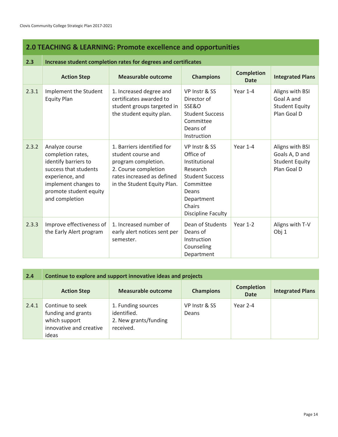### **2.0 TEACHING & LEARNING: Promote excellence and opportunities**

| 2.3   | Increase student completion rates for degrees and certificates                                                                                                              |                                                                                                                                                              |                                                                                                                                                       |                                  |                                                                           |  |  |
|-------|-----------------------------------------------------------------------------------------------------------------------------------------------------------------------------|--------------------------------------------------------------------------------------------------------------------------------------------------------------|-------------------------------------------------------------------------------------------------------------------------------------------------------|----------------------------------|---------------------------------------------------------------------------|--|--|
|       | <b>Action Step</b>                                                                                                                                                          | <b>Measurable outcome</b>                                                                                                                                    | <b>Champions</b>                                                                                                                                      | <b>Completion</b><br><b>Date</b> | <b>Integrated Plans</b>                                                   |  |  |
| 2.3.1 | Implement the Student<br><b>Equity Plan</b>                                                                                                                                 | 1. Increased degree and<br>certificates awarded to<br>student groups targeted in<br>the student equity plan.                                                 | VP Instr & SS<br>Director of<br>SSE&O<br><b>Student Success</b><br>Committee<br>Deans of<br>Instruction                                               | Year 1-4                         | Aligns with BSI<br>Goal A and<br><b>Student Equity</b><br>Plan Goal D     |  |  |
| 2.3.2 | Analyze course<br>completion rates,<br>identify barriers to<br>success that students<br>experience, and<br>implement changes to<br>promote student equity<br>and completion | 1. Barriers identified for<br>student course and<br>program completion.<br>2. Course completion<br>rates increased as defined<br>in the Student Equity Plan. | VP Instr & SS<br>Office of<br>Institutional<br>Research<br><b>Student Success</b><br>Committee<br>Deans<br>Department<br>Chairs<br>Discipline Faculty | Year $1-4$                       | Aligns with BSI<br>Goals A, D and<br><b>Student Equity</b><br>Plan Goal D |  |  |
| 2.3.3 | Improve effectiveness of<br>the Early Alert program                                                                                                                         | 1. Increased number of<br>early alert notices sent per<br>semester.                                                                                          | Dean of Students<br>Deans of<br>Instruction<br>Counseling<br>Department                                                                               | Year $1-2$                       | Aligns with T-V<br>Obj 1                                                  |  |  |

| 2.4   | Continue to explore and support innovative ideas and projects                               |                                                                         |                        |                                  |                         |  |
|-------|---------------------------------------------------------------------------------------------|-------------------------------------------------------------------------|------------------------|----------------------------------|-------------------------|--|
|       | <b>Action Step</b>                                                                          | Measurable outcome                                                      | <b>Champions</b>       | <b>Completion</b><br><b>Date</b> | <b>Integrated Plans</b> |  |
| 2.4.1 | Continue to seek<br>funding and grants<br>which support<br>innovative and creative<br>ideas | 1. Funding sources<br>identified.<br>2. New grants/funding<br>received. | VP Instr & SS<br>Deans | Year 2-4                         |                         |  |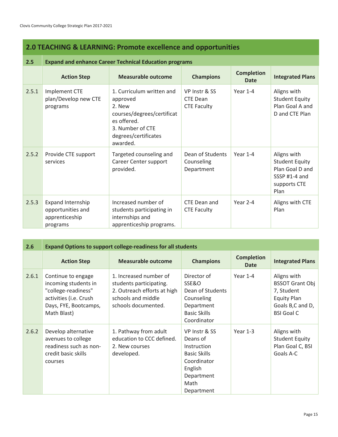#### **2.0 TEACHING & LEARNING: Promote excellence and opportunities**

#### **2.5 Expand and enhance Career Technical Education programs** Action Step **Measurable outcome Champions Completion Completion Integrated Plans** 2.5.1 | Implement CTE plan/Develop new CTE programs 1. Curriculum written and approved 2. New courses/degrees/certificat es offered. 3. Number of CTE degrees/certificates awarded. VP Instr & SS CTE Dean CTE Faculty Year 1-4 Aligns with Student Equity Plan Goal A and D and CTE Plan 2.5.2 Provide CTE support services Targeted counseling and Career Center support provided. Dean of Students **Counseling** Department Year 1-4 Aligns with Student Equity Plan Goal D and SSSP #1-4 and supports CTE Plan 2.5.3 Expand Internship opportunities and apprenticeship programs Increased number of students participating in internships and apprenticeship programs. CTE Dean and CTE Faculty Year 2-4 Aligns with CTE Plan

| 2.6   | <b>Expand Options to support college-readiness for all students</b>                                                                 |                                                                                                                               |                                                                                                                               |                           |                                                                                                                    |  |  |
|-------|-------------------------------------------------------------------------------------------------------------------------------------|-------------------------------------------------------------------------------------------------------------------------------|-------------------------------------------------------------------------------------------------------------------------------|---------------------------|--------------------------------------------------------------------------------------------------------------------|--|--|
|       | <b>Action Step</b>                                                                                                                  | <b>Measurable outcome</b>                                                                                                     | <b>Champions</b>                                                                                                              | <b>Completion</b><br>Date | <b>Integrated Plans</b>                                                                                            |  |  |
| 2.6.1 | Continue to engage<br>incoming students in<br>"college-readiness"<br>activities (i.e. Crush<br>Days, FYE, Bootcamps,<br>Math Blast) | 1. Increased number of<br>students participating.<br>2. Outreach efforts at high<br>schools and middle<br>schools documented. | Director of<br>SSE&O<br>Dean of Students<br>Counseling<br>Department<br><b>Basic Skills</b><br>Coordinator                    | Year $1-4$                | Aligns with<br><b>BSSOT Grant Obj</b><br>7, Student<br><b>Equity Plan</b><br>Goals B,C and D,<br><b>BSI Goal C</b> |  |  |
| 2.6.2 | Develop alternative<br>avenues to college<br>readiness such as non-<br>credit basic skills<br>courses                               | 1. Pathway from adult<br>education to CCC defined.<br>2. New courses<br>developed.                                            | VP Instr & SS<br>Deans of<br>Instruction<br><b>Basic Skills</b><br>Coordinator<br>English<br>Department<br>Math<br>Department | Year 1-3                  | Aligns with<br><b>Student Equity</b><br>Plan Goal C, BSI<br>Goals A-C                                              |  |  |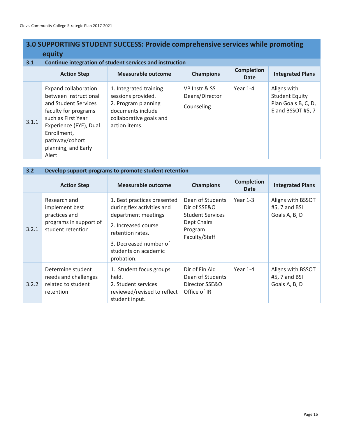### **3.0 SUPPORTING STUDENT SUCCESS: Provide comprehensive services while promoting equity**

| 3.1   | Continue integration of student services and instruction                                                                                                                                                       |                                                                                                                                      |                                               |                                  |                                                                                  |  |  |  |
|-------|----------------------------------------------------------------------------------------------------------------------------------------------------------------------------------------------------------------|--------------------------------------------------------------------------------------------------------------------------------------|-----------------------------------------------|----------------------------------|----------------------------------------------------------------------------------|--|--|--|
|       | <b>Action Step</b>                                                                                                                                                                                             | <b>Measurable outcome</b>                                                                                                            | <b>Champions</b>                              | <b>Completion</b><br><b>Date</b> | <b>Integrated Plans</b>                                                          |  |  |  |
| 3.1.1 | Expand collaboration<br>between Instructional<br>and Student Services<br>faculty for programs<br>such as First Year<br>Experience (FYE), Dual<br>Enrollment,<br>pathway/cohort<br>planning, and Early<br>Alert | 1. Integrated training<br>sessions provided.<br>2. Program planning<br>documents include<br>collaborative goals and<br>action items. | VP Instr & SS<br>Deans/Director<br>Counseling | Year $1-4$                       | Aligns with<br><b>Student Equity</b><br>Plan Goals B, C, D,<br>E and BSSOT #5, 7 |  |  |  |

| 3.2   | Develop support programs to promote student retention                                          |                                                                                                                                                                                             |                                                                                                        |                                  |                                                     |  |  |  |
|-------|------------------------------------------------------------------------------------------------|---------------------------------------------------------------------------------------------------------------------------------------------------------------------------------------------|--------------------------------------------------------------------------------------------------------|----------------------------------|-----------------------------------------------------|--|--|--|
|       | <b>Action Step</b>                                                                             | <b>Measurable outcome</b>                                                                                                                                                                   | <b>Champions</b>                                                                                       | <b>Completion</b><br><b>Date</b> | <b>Integrated Plans</b>                             |  |  |  |
| 3.2.1 | Research and<br>implement best<br>practices and<br>programs in support of<br>student retention | 1. Best practices presented<br>during flex activities and<br>department meetings<br>2. Increased course<br>retention rates.<br>3. Decreased number of<br>students on academic<br>probation. | Dean of Students<br>Dir of SSE&O<br><b>Student Services</b><br>Dept Chairs<br>Program<br>Faculty/Staff | Year $1-3$                       | Aligns with BSSOT<br>#5, 7 and BSI<br>Goals A, B, D |  |  |  |
| 3.2.2 | Determine student<br>needs and challenges<br>related to student<br>retention                   | 1. Student focus groups<br>held.<br>2. Student services<br>reviewed/revised to reflect<br>student input.                                                                                    | Dir of Fin Aid<br>Dean of Students<br>Director SSE&O<br>Office of IR                                   | Year $1-4$                       | Aligns with BSSOT<br>#5, 7 and BSI<br>Goals A, B, D |  |  |  |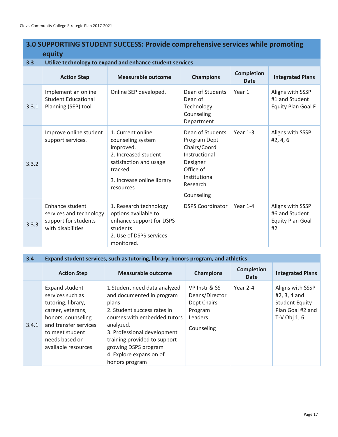|       | equity                                                                                  |                                                                                                                                                             |                                                                                                                                       |                                  |                                                                     |  |  |  |
|-------|-----------------------------------------------------------------------------------------|-------------------------------------------------------------------------------------------------------------------------------------------------------------|---------------------------------------------------------------------------------------------------------------------------------------|----------------------------------|---------------------------------------------------------------------|--|--|--|
| 3.3   | Utilize technology to expand and enhance student services                               |                                                                                                                                                             |                                                                                                                                       |                                  |                                                                     |  |  |  |
|       | <b>Action Step</b>                                                                      | <b>Measurable outcome</b>                                                                                                                                   | <b>Champions</b>                                                                                                                      | <b>Completion</b><br><b>Date</b> | <b>Integrated Plans</b>                                             |  |  |  |
| 3.3.1 | Implement an online<br><b>Student Educational</b><br>Planning (SEP) tool                | Online SEP developed.                                                                                                                                       | Dean of Students<br>Dean of<br>Technology<br>Counseling<br>Department                                                                 | Year 1                           | Aligns with SSSP<br>#1 and Student<br><b>Equity Plan Goal F</b>     |  |  |  |
| 3.3.2 | Improve online student<br>support services.                                             | 1. Current online<br>counseling system<br>improved.<br>2. Increased student<br>satisfaction and usage<br>tracked<br>3. Increase online library<br>resources | Dean of Students<br>Program Dept<br>Chairs/Coord<br>Instructional<br>Designer<br>Office of<br>Institutional<br>Research<br>Counseling | Year $1-3$                       | Aligns with SSSP<br>#2, 4, 6                                        |  |  |  |
| 3.3.3 | Enhance student<br>services and technology<br>support for students<br>with disabilities | 1. Research technology<br>options available to<br>enhance support for DSPS<br>students<br>2. Use of DSPS services<br>monitored.                             | <b>DSPS Coordinator</b>                                                                                                               | Year $1-4$                       | Aligns with SSSP<br>#6 and Student<br><b>Equity Plan Goal</b><br>#2 |  |  |  |

# **3.0 SUPPORTING STUDENT SUCCESS: Provide comprehensive services while promoting**

#### **3.4 Expand student services, such as tutoring, library, honors program, and athletics**

|       | <b>Action Step</b>                                                                                                                                                                       | <b>Measurable outcome</b>                                                                                                                                                                                                                                                           | <b>Champions</b>                                                                   | <b>Completion</b><br><b>Date</b> | <b>Integrated Plans</b>                                                                         |
|-------|------------------------------------------------------------------------------------------------------------------------------------------------------------------------------------------|-------------------------------------------------------------------------------------------------------------------------------------------------------------------------------------------------------------------------------------------------------------------------------------|------------------------------------------------------------------------------------|----------------------------------|-------------------------------------------------------------------------------------------------|
| 3.4.1 | Expand student<br>services such as<br>tutoring, library,<br>career, veterans,<br>honors, counseling<br>and transfer services<br>to meet student<br>needs based on<br>available resources | 1. Student need data analyzed<br>and documented in program<br>plans<br>2. Student success rates in<br>courses with embedded tutors<br>analyzed.<br>3. Professional development<br>training provided to support<br>growing DSPS program<br>4. Explore expansion of<br>honors program | VP Instr & SS<br>Deans/Director<br>Dept Chairs<br>Program<br>Leaders<br>Counseling | Year 2-4                         | Aligns with SSSP<br>#2, 3, 4 and<br><b>Student Equity</b><br>Plan Goal #2 and<br>T-V Obj $1, 6$ |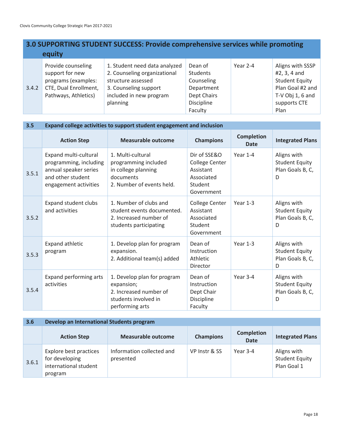### **3.0 SUPPORTING STUDENT SUCCESS: Provide comprehensive services while promoting equity**

|       | Provide counseling    | 1. Student need data analyzed | Dean of           | Year 2-4 | Aligns with SSSP      |
|-------|-----------------------|-------------------------------|-------------------|----------|-----------------------|
|       | support for new       | 2. Counseling organizational  | Students          |          | #2, 3, 4 and          |
|       | programs (examples:   | structure assessed            | Counseling        |          | <b>Student Equity</b> |
| 3.4.2 | CTE, Dual Enrollment, | 3. Counseling support         | Department        |          | Plan Goal #2 and      |
|       | Pathways, Athletics)  | included in new program       | Dept Chairs       |          | T-V Obj 1, 6 and      |
|       |                       | planning                      | <b>Discipline</b> |          | supports CTE          |
|       |                       |                               | Faculty           |          | Plan                  |

| 3.5   | Expand college activities to support student engagement and inclusion                                                  |                                                                                                                |                                                                                           |                                  |                                                               |  |  |  |
|-------|------------------------------------------------------------------------------------------------------------------------|----------------------------------------------------------------------------------------------------------------|-------------------------------------------------------------------------------------------|----------------------------------|---------------------------------------------------------------|--|--|--|
|       | <b>Action Step</b>                                                                                                     | <b>Measurable outcome</b>                                                                                      | <b>Champions</b>                                                                          | <b>Completion</b><br><b>Date</b> | <b>Integrated Plans</b>                                       |  |  |  |
| 3.5.1 | Expand multi-cultural<br>programming, including<br>annual speaker series<br>and other student<br>engagement activities | 1. Multi-cultural<br>programming included<br>in college planning<br>documents<br>2. Number of events held.     | Dir of SSE&O<br><b>College Center</b><br>Assistant<br>Associated<br>Student<br>Government | Year 1-4                         | Aligns with<br><b>Student Equity</b><br>Plan Goals B, C,<br>D |  |  |  |
| 3.5.2 | <b>Expand student clubs</b><br>and activities                                                                          | 1. Number of clubs and<br>student events documented.<br>2. Increased number of<br>students participating       | <b>College Center</b><br>Assistant<br>Associated<br>Student<br>Government                 | Year 1-3                         | Aligns with<br><b>Student Equity</b><br>Plan Goals B, C,<br>D |  |  |  |
| 3.5.3 | Expand athletic<br>program                                                                                             | 1. Develop plan for program<br>expansion.<br>2. Additional team(s) added                                       | Dean of<br>Instruction<br>Athletic<br>Director                                            | Year $1-3$                       | Aligns with<br><b>Student Equity</b><br>Plan Goals B, C,<br>D |  |  |  |
| 3.5.4 | Expand performing arts<br>activities                                                                                   | 1. Develop plan for program<br>expansion;<br>2. Increased number of<br>students involved in<br>performing arts | Dean of<br>Instruction<br>Dept Chair<br>Discipline<br>Faculty                             | Year 3-4                         | Aligns with<br><b>Student Equity</b><br>Plan Goals B, C,<br>D |  |  |  |

| 3.6   | Develop an International Students program                                    |                                        |                  |                                  |                                                     |  |  |
|-------|------------------------------------------------------------------------------|----------------------------------------|------------------|----------------------------------|-----------------------------------------------------|--|--|
|       | <b>Action Step</b>                                                           | <b>Measurable outcome</b>              | <b>Champions</b> | <b>Completion</b><br><b>Date</b> | <b>Integrated Plans</b>                             |  |  |
| 3.6.1 | Explore best practices<br>for developing<br>international student<br>program | Information collected and<br>presented | VP Instr & SS    | Year 3-4                         | Aligns with<br><b>Student Equity</b><br>Plan Goal 1 |  |  |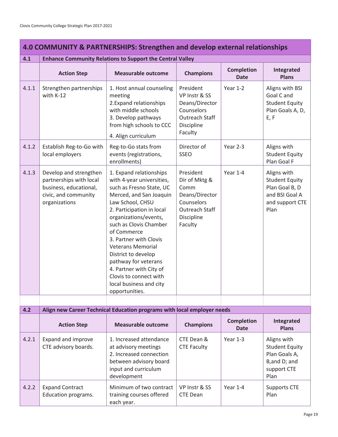| 4.0 COMMUNITY & PARTNERSHIPS: Strengthen and develop external relationships |                                                                                                                      |                                                                                                                                                                                                                                                                                                                                                                                                                                       |                                                                                                               |                                  |                                                                                                     |  |  |
|-----------------------------------------------------------------------------|----------------------------------------------------------------------------------------------------------------------|---------------------------------------------------------------------------------------------------------------------------------------------------------------------------------------------------------------------------------------------------------------------------------------------------------------------------------------------------------------------------------------------------------------------------------------|---------------------------------------------------------------------------------------------------------------|----------------------------------|-----------------------------------------------------------------------------------------------------|--|--|
| 4.1                                                                         |                                                                                                                      | <b>Enhance Community Relations to Support the Central Valley</b>                                                                                                                                                                                                                                                                                                                                                                      |                                                                                                               |                                  |                                                                                                     |  |  |
|                                                                             | <b>Action Step</b>                                                                                                   | <b>Measurable outcome</b>                                                                                                                                                                                                                                                                                                                                                                                                             | <b>Champions</b>                                                                                              | <b>Completion</b><br><b>Date</b> | Integrated<br><b>Plans</b>                                                                          |  |  |
| 4.1.1                                                                       | Strengthen partnerships<br>with K-12                                                                                 | 1. Host annual counseling<br>meeting<br>2. Expand relationships<br>with middle schools<br>3. Develop pathways<br>from high schools to CCC<br>4. Align curriculum                                                                                                                                                                                                                                                                      | President<br>VP Instr & SS<br>Deans/Director<br>Counselors<br>Outreach Staff<br>Discipline<br>Faculty         | Year 1-2                         | Aligns with BSI<br>Goal C and<br><b>Student Equity</b><br>Plan Goals A, D,<br>E, F                  |  |  |
| 4.1.2                                                                       | Establish Reg-to-Go with<br>local employers                                                                          | Reg-to-Go stats from<br>events (registrations,<br>enrollments)                                                                                                                                                                                                                                                                                                                                                                        | Director of<br><b>SSEO</b>                                                                                    | Year 2-3                         | Aligns with<br><b>Student Equity</b><br>Plan Goal F                                                 |  |  |
| 4.1.3                                                                       | Develop and strengthen<br>partnerships with local<br>business, educational,<br>civic, and community<br>organizations | 1. Expand relationships<br>with 4-year universities,<br>such as Fresno State, UC<br>Merced, and San Joaquin<br>Law School, CHSU<br>2. Participation in local<br>organizations/events,<br>such as Clovis Chamber<br>of Commerce<br>3. Partner with Clovis<br><b>Veterans Memorial</b><br>District to develop<br>pathway for veterans<br>4. Partner with City of<br>Clovis to connect with<br>local business and city<br>opportunities. | President<br>Dir of Mktg &<br>Comm<br>Deans/Director<br>Counselors<br>Outreach Staff<br>Discipline<br>Faculty | Year 1-4                         | Aligns with<br><b>Student Equity</b><br>Plan Goal B, D<br>and BSI Goal A<br>and support CTE<br>Plan |  |  |
|                                                                             |                                                                                                                      |                                                                                                                                                                                                                                                                                                                                                                                                                                       |                                                                                                               |                                  |                                                                                                     |  |  |
| 4.2                                                                         |                                                                                                                      | Align new Career Technical Education programs with local employer needs                                                                                                                                                                                                                                                                                                                                                               |                                                                                                               |                                  |                                                                                                     |  |  |
|                                                                             | <b>Action Step</b>                                                                                                   | <b>Measurable outcome</b>                                                                                                                                                                                                                                                                                                                                                                                                             | <b>Champions</b>                                                                                              | <b>Completion</b><br><b>Date</b> | Integrated<br><b>Plans</b>                                                                          |  |  |
| 4.2.1                                                                       | Expand and improve<br>CTE advisory boards.                                                                           | 1. Increased attendance<br>at advisory meetings<br>2. Increased connection<br>between advisory board<br>input and curriculum<br>development                                                                                                                                                                                                                                                                                           | CTE Dean &<br><b>CTE Faculty</b>                                                                              | Year $1-3$                       | Aligns with<br><b>Student Equity</b><br>Plan Goals A,<br>B, and D; and<br>support CTE<br>Plan       |  |  |
| 4.2.2                                                                       | <b>Expand Contract</b><br>Education programs.                                                                        | Minimum of two contract<br>training courses offered<br>each year.                                                                                                                                                                                                                                                                                                                                                                     | VP Instr & SS<br><b>CTE Dean</b>                                                                              | Year 1-4                         | <b>Supports CTE</b><br>Plan                                                                         |  |  |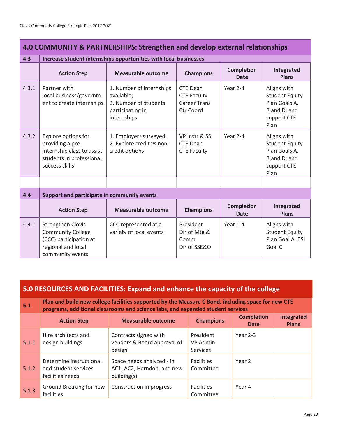| 4.0 COMMUNITY & PARTNERSHIPS: Strengthen and develop external relationships |                                                                                                                          |                                                                                                    |                                                                           |                                  |                                                                                              |  |  |  |
|-----------------------------------------------------------------------------|--------------------------------------------------------------------------------------------------------------------------|----------------------------------------------------------------------------------------------------|---------------------------------------------------------------------------|----------------------------------|----------------------------------------------------------------------------------------------|--|--|--|
| 4.3                                                                         | Increase student internships opportunities with local businesses                                                         |                                                                                                    |                                                                           |                                  |                                                                                              |  |  |  |
|                                                                             | <b>Action Step</b>                                                                                                       | <b>Measurable outcome</b>                                                                          | <b>Champions</b>                                                          | <b>Completion</b><br><b>Date</b> | Integrated<br><b>Plans</b>                                                                   |  |  |  |
| 4.3.1                                                                       | Partner with<br>local business/governm<br>ent to create internships                                                      | 1. Number of internships<br>available;<br>2. Number of students<br>participating in<br>internships | <b>CTE Dean</b><br><b>CTE Faculty</b><br><b>Career Trans</b><br>Ctr Coord | Year 2-4                         | Aligns with<br><b>Student Equity</b><br>Plan Goals A,<br>B,and D; and<br>support CTE<br>Plan |  |  |  |
| 4.3.2                                                                       | Explore options for<br>providing a pre-<br>internship class to assist<br>students in professional<br>success skills      | 1. Employers surveyed.<br>2. Explore credit vs non-<br>credit options                              | VP Instr & SS<br><b>CTE Dean</b><br><b>CTE Faculty</b>                    | Year 2-4                         | Aligns with<br><b>Student Equity</b><br>Plan Goals A,<br>B,and D; and<br>support CTE<br>Plan |  |  |  |
|                                                                             |                                                                                                                          |                                                                                                    |                                                                           |                                  |                                                                                              |  |  |  |
| 4.4                                                                         | Support and participate in community events                                                                              |                                                                                                    |                                                                           |                                  |                                                                                              |  |  |  |
|                                                                             | <b>Action Step</b>                                                                                                       | <b>Measurable outcome</b>                                                                          | <b>Champions</b>                                                          | <b>Completion</b><br><b>Date</b> | Integrated<br><b>Plans</b>                                                                   |  |  |  |
| 4.4.1                                                                       | <b>Strengthen Clovis</b><br><b>Community College</b><br>(CCC) participation at<br>regional and local<br>community events | CCC represented at a<br>variety of local events                                                    | President<br>Dir of Mtg &<br>Comm<br>Dir of SSE&O                         | Year 1-4                         | Aligns with<br><b>Student Equity</b><br>Plan Goal A, BSI<br>Goal C                           |  |  |  |

| 5.0 RESOURCES AND FACILITIES: Expand and enhance the capacity of the college |                                                                     |                                                                                                                                                                                       |                                          |                                  |                                   |  |  |
|------------------------------------------------------------------------------|---------------------------------------------------------------------|---------------------------------------------------------------------------------------------------------------------------------------------------------------------------------------|------------------------------------------|----------------------------------|-----------------------------------|--|--|
| 5.1                                                                          |                                                                     | Plan and build new college facilities supported by the Measure C Bond, including space for new CTE<br>programs, additional classrooms and science labs, and expanded student services |                                          |                                  |                                   |  |  |
|                                                                              | <b>Action Step</b>                                                  | <b>Measurable outcome</b>                                                                                                                                                             | <b>Champions</b>                         | <b>Completion</b><br><b>Date</b> | <b>Integrated</b><br><b>Plans</b> |  |  |
| 5.1.1                                                                        | Hire architects and<br>design buildings                             | Contracts signed with<br>vendors & Board approval of<br>design                                                                                                                        | President<br>VP Admin<br><b>Services</b> | Year 2-3                         |                                   |  |  |
| 5.1.2                                                                        | Determine instructional<br>and student services<br>facilities needs | Space needs analyzed - in<br>AC1, AC2, Herndon, and new<br>building(s)                                                                                                                | <b>Facilities</b><br>Committee           | Year 2                           |                                   |  |  |
| 5.1.3                                                                        | Ground Breaking for new<br>facilities                               | Construction in progress                                                                                                                                                              | <b>Facilities</b><br>Committee           | Year 4                           |                                   |  |  |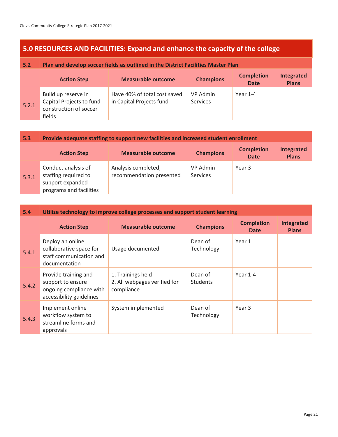approvals

### **5.0 RESOURCES AND FACILITIES: Expand and enhance the capacity of the college**

#### **5.2 Plan and develop soccer fields as outlined in the District Facilities Master Plan**

|       | <b>Action Step</b>                                                                  | <b>Measurable outcome</b>                                | <b>Champions</b>            | <b>Completion</b><br><b>Date</b> | <b>Integrated</b><br><b>Plans</b> |
|-------|-------------------------------------------------------------------------------------|----------------------------------------------------------|-----------------------------|----------------------------------|-----------------------------------|
| 5.2.1 | Build up reserve in<br>Capital Projects to fund<br>construction of soccer<br>fields | Have 40% of total cost saved<br>in Capital Projects fund | VP Admin<br><b>Services</b> | Year 1-4                         |                                   |

## **5.3 Provide adequate staffing to support new facilities and increased student enrollment**

|       | <b>Action Step</b>                                                                         | <b>Measurable outcome</b>                       | <b>Champions</b>            | <b>Completion</b><br><b>Date</b> | <b>Integrated</b><br><b>Plans</b> |
|-------|--------------------------------------------------------------------------------------------|-------------------------------------------------|-----------------------------|----------------------------------|-----------------------------------|
| 5.3.1 | Conduct analysis of<br>staffing required to<br>support expanded<br>programs and facilities | Analysis completed;<br>recommendation presented | VP Admin<br><b>Services</b> | Year 3                           |                                   |

#### **5.4 Utilize technology to improve college processes and support student learning Action Step Measurable outcome Champions Completion Date Integrated Plans** 5.4.1 Deploy an online collaborative space for staff communication and documentation Usage documented Dean of Technology Year 1 5.4.2 Provide training and support to ensure ongoing compliance with accessibility guidelines 1. Trainings held 2. All webpages verified for compliance Dean of **Students** Year 1-4 5.4.3 Implement online workflow system to streamline forms and System implemented Dean of Technology Year 3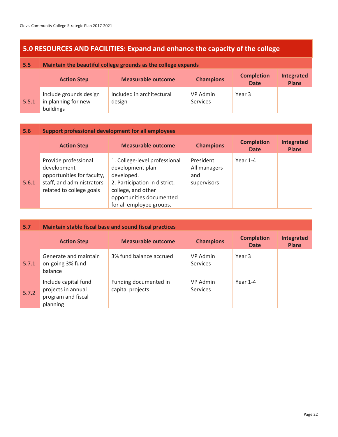### **5.0 RESOURCES AND FACILITIES: Expand and enhance the capacity of the college**

| 5.5   | Maintain the beautiful college grounds as the college expands |                                     |                      |                                  |                            |  |
|-------|---------------------------------------------------------------|-------------------------------------|----------------------|----------------------------------|----------------------------|--|
|       | <b>Action Step</b>                                            | <b>Measurable outcome</b>           | <b>Champions</b>     | <b>Completion</b><br><b>Date</b> | Integrated<br><b>Plans</b> |  |
| 5.5.1 | Include grounds design<br>in planning for new<br>buildings    | Included in architectural<br>design | VP Admin<br>Services | Year 3                           |                            |  |

| 5.6   | <b>Support professional development for all employees</b>                                                                  |                                                                                                                                                                                |                                                 |                                  |                                   |  |
|-------|----------------------------------------------------------------------------------------------------------------------------|--------------------------------------------------------------------------------------------------------------------------------------------------------------------------------|-------------------------------------------------|----------------------------------|-----------------------------------|--|
|       | <b>Action Step</b>                                                                                                         | <b>Measurable outcome</b>                                                                                                                                                      | <b>Champions</b>                                | <b>Completion</b><br><b>Date</b> | <b>Integrated</b><br><b>Plans</b> |  |
| 5.6.1 | Provide professional<br>development<br>opportunities for faculty,<br>staff, and administrators<br>related to college goals | 1. College-level professional<br>development plan<br>developed.<br>2. Participation in district,<br>college, and other<br>opportunities documented<br>for all employee groups. | President<br>All managers<br>and<br>supervisors | Year 1-4                         |                                   |  |

| 5.7   | <b>Maintain stable fiscal base and sound fiscal practices</b>                |                                           |                                    |                                  |                                   |  |
|-------|------------------------------------------------------------------------------|-------------------------------------------|------------------------------------|----------------------------------|-----------------------------------|--|
|       | <b>Action Step</b>                                                           | <b>Measurable outcome</b>                 | <b>Champions</b>                   | <b>Completion</b><br><b>Date</b> | <b>Integrated</b><br><b>Plans</b> |  |
| 5.7.1 | Generate and maintain<br>on-going 3% fund<br>balance                         | 3% fund balance accrued                   | <b>VP Admin</b><br><b>Services</b> | Year <sub>3</sub>                |                                   |  |
| 5.7.2 | Include capital fund<br>projects in annual<br>program and fiscal<br>planning | Funding documented in<br>capital projects | <b>VP Admin</b><br><b>Services</b> | Year 1-4                         |                                   |  |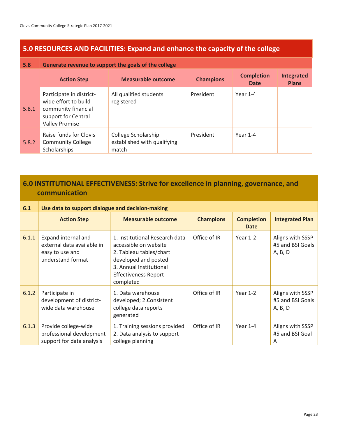### **5.0 RESOURCES AND FACILITIES: Expand and enhance the capacity of the college**

#### **5.8 Generate revenue to support the goals of the college**

|       | <b>Action Step</b>                                                                                                      | <b>Measurable outcome</b>                                   | <b>Champions</b> | <b>Completion</b><br><b>Date</b> | <b>Integrated</b><br><b>Plans</b> |
|-------|-------------------------------------------------------------------------------------------------------------------------|-------------------------------------------------------------|------------------|----------------------------------|-----------------------------------|
| 5.8.1 | Participate in district-<br>wide effort to build<br>community financial<br>support for Central<br><b>Valley Promise</b> | All qualified students<br>registered                        | President        | Year 1-4                         |                                   |
| 5.8.2 | Raise funds for Clovis<br><b>Community College</b><br>Scholarships                                                      | College Scholarship<br>established with qualifying<br>match | President        | Year 1-4                         |                                   |

### **6.0 INSTITUTIONAL EFFECTIVENESS: Strive for excellence in planning, governance, and communication**

| 6.1   | Use data to support dialogue and decision-making                                          |                                                                                                                                                                                   |                  |                                  |                                                 |  |
|-------|-------------------------------------------------------------------------------------------|-----------------------------------------------------------------------------------------------------------------------------------------------------------------------------------|------------------|----------------------------------|-------------------------------------------------|--|
|       | <b>Action Step</b>                                                                        | <b>Measurable outcome</b>                                                                                                                                                         | <b>Champions</b> | <b>Completion</b><br><b>Date</b> | <b>Integrated Plan</b>                          |  |
| 6.1.1 | Expand internal and<br>external data available in<br>easy to use and<br>understand format | 1. Institutional Research data<br>accessible on website<br>2. Tableau tables/chart<br>developed and posted<br>3. Annual Institutional<br><b>Effectiveness Report</b><br>completed | Office of IR     | Year $1-2$                       | Aligns with SSSP<br>#5 and BSI Goals<br>A, B, D |  |
| 6.1.2 | Participate in<br>development of district-<br>wide data warehouse                         | 1. Data warehouse<br>developed; 2. Consistent<br>college data reports<br>generated                                                                                                | Office of IR     | Year $1-2$                       | Aligns with SSSP<br>#5 and BSI Goals<br>A, B, D |  |
| 6.1.3 | Provide college-wide<br>professional development<br>support for data analysis             | 1. Training sessions provided<br>2. Data analysis to support<br>college planning                                                                                                  | Office of IR     | Year 1-4                         | Aligns with SSSP<br>#5 and BSI Goal<br>A        |  |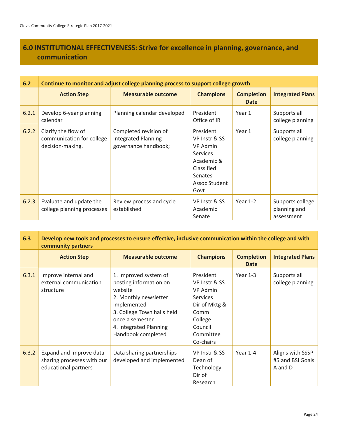### **6.0 INSTITUTIONAL EFFECTIVENESS: Strive for excellence in planning, governance, and communication**

| 6.2   | Continue to monitor and adjust college planning process to support college growth |                                                                             |                                                                                                                           |                                  |                                                |  |
|-------|-----------------------------------------------------------------------------------|-----------------------------------------------------------------------------|---------------------------------------------------------------------------------------------------------------------------|----------------------------------|------------------------------------------------|--|
|       | <b>Action Step</b>                                                                | <b>Measurable outcome</b>                                                   | <b>Champions</b>                                                                                                          | <b>Completion</b><br><b>Date</b> | <b>Integrated Plans</b>                        |  |
| 6.2.1 | Develop 6-year planning<br>calendar                                               | Planning calendar developed                                                 | President<br>Office of IR                                                                                                 | Year 1                           | Supports all<br>college planning               |  |
| 6.2.2 | Clarify the flow of<br>communication for college<br>decision-making.              | Completed revision of<br><b>Integrated Planning</b><br>governance handbook; | President<br>VP Instr & SS<br>VP Admin<br><b>Services</b><br>Academic &<br>Classified<br>Senates<br>Assoc Student<br>Govt | Year 1                           | Supports all<br>college planning               |  |
| 6.2.3 | Evaluate and update the<br>college planning processes                             | Review process and cycle<br>established                                     | VP Instr & SS<br>Academic<br>Senate                                                                                       | Year $1-2$                       | Supports college<br>planning and<br>assessment |  |

| 6.3   | Develop new tools and processes to ensure effective, inclusive communication within the college and with<br>community partners |                                                                                                                                                                                                     |                                                                                                                                    |                                  |                                                 |
|-------|--------------------------------------------------------------------------------------------------------------------------------|-----------------------------------------------------------------------------------------------------------------------------------------------------------------------------------------------------|------------------------------------------------------------------------------------------------------------------------------------|----------------------------------|-------------------------------------------------|
|       | <b>Action Step</b>                                                                                                             | <b>Measurable outcome</b>                                                                                                                                                                           | <b>Champions</b>                                                                                                                   | <b>Completion</b><br><b>Date</b> | <b>Integrated Plans</b>                         |
| 6.3.1 | Improve internal and<br>external communication<br>structure                                                                    | 1. Improved system of<br>posting information on<br>website<br>2. Monthly newsletter<br>implemented<br>3. College Town halls held<br>once a semester<br>4. Integrated Planning<br>Handbook completed | President<br>VP Instr & SS<br>VP Admin<br><b>Services</b><br>Dir of Mktg &<br>Comm<br>College<br>Council<br>Committee<br>Co-chairs | Year $1-3$                       | Supports all<br>college planning                |
| 6.3.2 | Expand and improve data<br>sharing processes with our<br>educational partners                                                  | Data sharing partnerships<br>developed and implemented                                                                                                                                              | VP Instr & SS<br>Dean of<br>Technology<br>Dir of<br>Research                                                                       | Year $1-4$                       | Aligns with SSSP<br>#5 and BSI Goals<br>A and D |